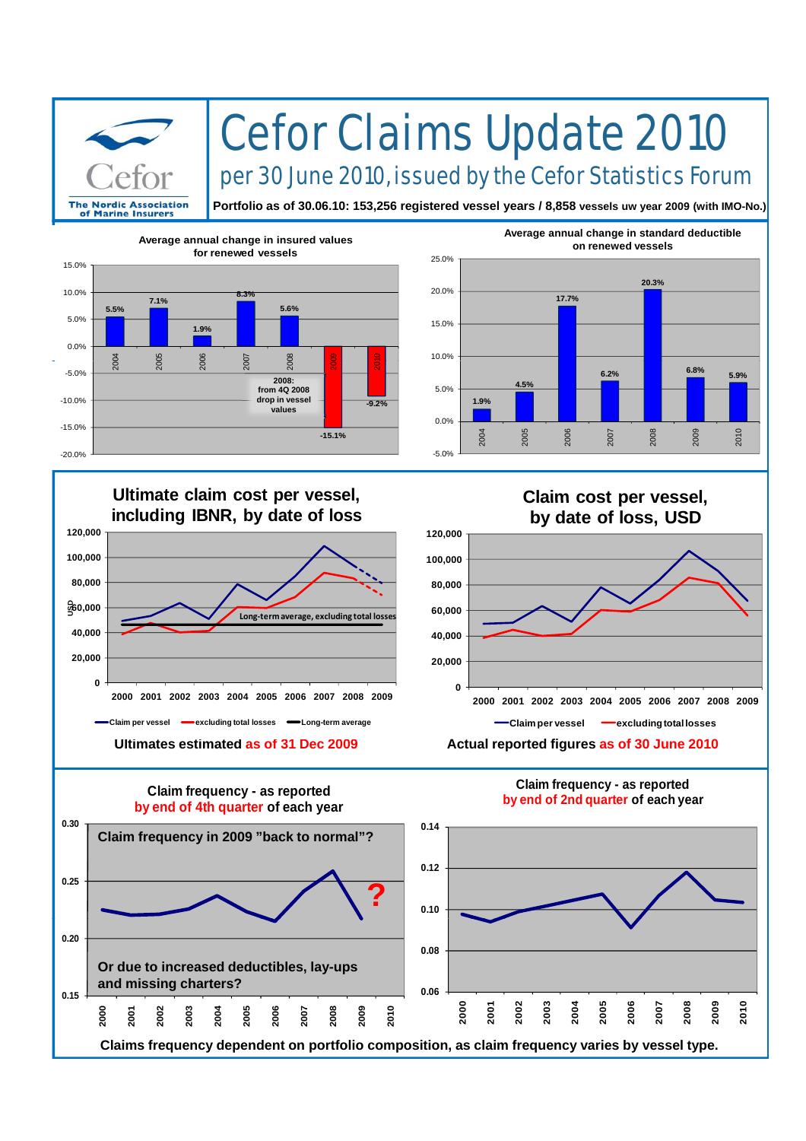

## Cefor Claims Update 2010

per 30 June 2010, issued by the Cefor Statistics Forum

**Portfolio as of 30.06.10: 153,256 registered vessel years / 8,858 vessels uw year 2009 (with IMO-No.)**





## **Ultimate claim cost per vessel, Claim cost per vessel Ultimate claim cost per 40,000 60,000 USD 80,000 100,000 120,000 including IBNR, by date of loss Long‐termaverage, excluding total losses 0 20,000 2000 2001 2002 2003 2004 2005 2006 2007 2008 2009 Claim per vessel excluding total losses expenditure**

**Claim cost per vessel, by date of loss, USD**